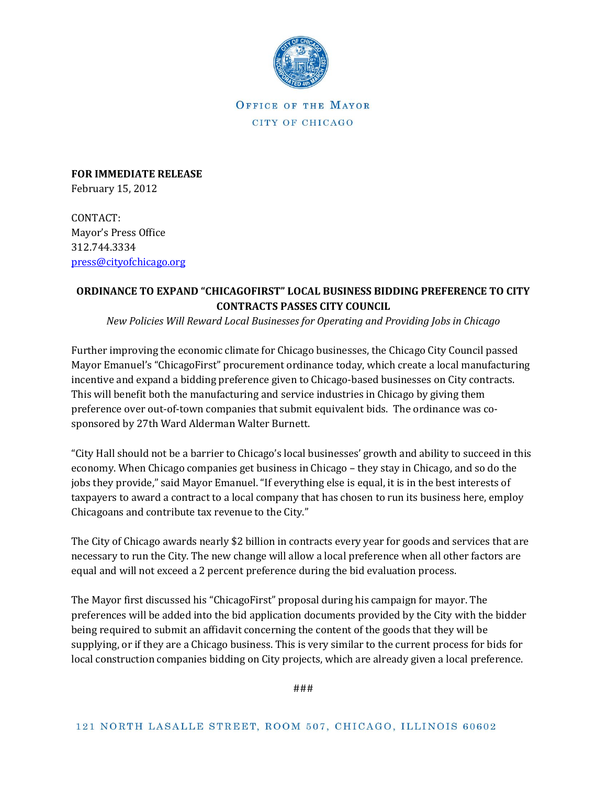

OFFICE OF THE MAYOR CITY OF CHICAGO

**FOR IMMEDIATE RELEASE** February 15, 2012

CONTACT: Mayor's Press Office 312.744.3334 [press@cityofchicago.org](mailto:press@cityofchicago.org)

## **ORDINANCE TO EXPAND "CHICAGOFIRST" LOCAL BUSINESS BIDDING PREFERENCE TO CITY CONTRACTS PASSES CITY COUNCIL**

*New Policies Will Reward Local Businesses for Operating and Providing Jobs in Chicago*

Further improving the economic climate for Chicago businesses, the Chicago City Council passed Mayor Emanuel's "ChicagoFirst" procurement ordinance today, which create a local manufacturing incentive and expand a bidding preference given to Chicago-based businesses on City contracts. This will benefit both the manufacturing and service industries in Chicago by giving them preference over out-of-town companies that submit equivalent bids. The ordinance was cosponsored by 27th Ward Alderman Walter Burnett.

"City Hall should not be a barrier to Chicago's local businesses' growth and ability to succeed in this economy. When Chicago companies get business in Chicago – they stay in Chicago, and so do the jobs they provide," said Mayor Emanuel. "If everything else is equal, it is in the best interests of taxpayers to award a contract to a local company that has chosen to run its business here, employ Chicagoans and contribute tax revenue to the City."

The City of Chicago awards nearly \$2 billion in contracts every year for goods and services that are necessary to run the City. The new change will allow a local preference when all other factors are equal and will not exceed a 2 percent preference during the bid evaluation process.

The Mayor first discussed his "ChicagoFirst" proposal during his campaign for mayor. The preferences will be added into the bid application documents provided by the City with the bidder being required to submit an affidavit concerning the content of the goods that they will be supplying, or if they are a Chicago business. This is very similar to the current process for bids for local construction companies bidding on City projects, which are already given a local preference.

###